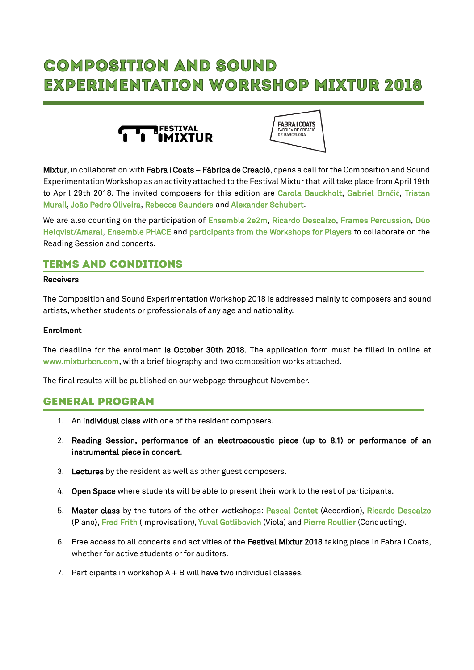# **COMPOSITION AND SOUND EXPERIMENTATION WORKSHOP MIXTUR 2018**





Mixtur, in collaboration with Fabra i Coats – Fàbrica de Creació, opens a call for the Composition and Sound Experimentation Workshop as an activity attached to the Festival Mixtur that will take place from April 19th to April 29th 2018. The invited composers for this edition are Carola Bauckholt, Gabriel Brn**č**i**ć**, Tristan Murail, João Pedro Oliveira, Rebecca Saunders and Alexander Schubert.

We are also counting on the participation of Ensemble 2e2m, Ricardo Descalzo, Frames Percussion, Dúo Helqvist/Amaral, Ensemble PHACE and participants from the Workshops for Players to collaborate on the Reading Session and concerts.

# **TERMS AND CONDITIONS**

#### Receivers

The Composition and Sound Experimentation Workshop 2018 is addressed mainly to composers and sound artists, whether students or professionals of any age and nationality.

#### Enrolment

The deadline for the enrolment is October 30th 2018. The application form must be filled in online at [www.mixturbcn.com,](http://www.mixturbcn.com/) with a brief biography and two composition works attached.

The final results will be published on our webpage throughout November.

## **GENERAL PROGRAM**

- 1. An individual class with one of the resident composers.
- 2. Reading Session, performance of an electroacoustic piece (up to 8.1) or performance of an instrumental piece in concert.
- 3. Lectures by the resident as well as other guest composers.
- 4. Open Space where students will be able to present their work to the rest of participants.
- 5. Master class by the tutors of the other wotkshops: Pascal Contet (Accordion), Ricardo Descalzo (Piano), Fred Frith (Improvisation), Yuval Gotlibovich (Viola) and Pierre Roullier (Conducting).
- 6. Free access to all concerts and activities of the Festival Mixtur 2018 taking place in Fabra i Coats, whether for active students or for auditors.
- 7. Participants in workshop A + B will have two individual classes.